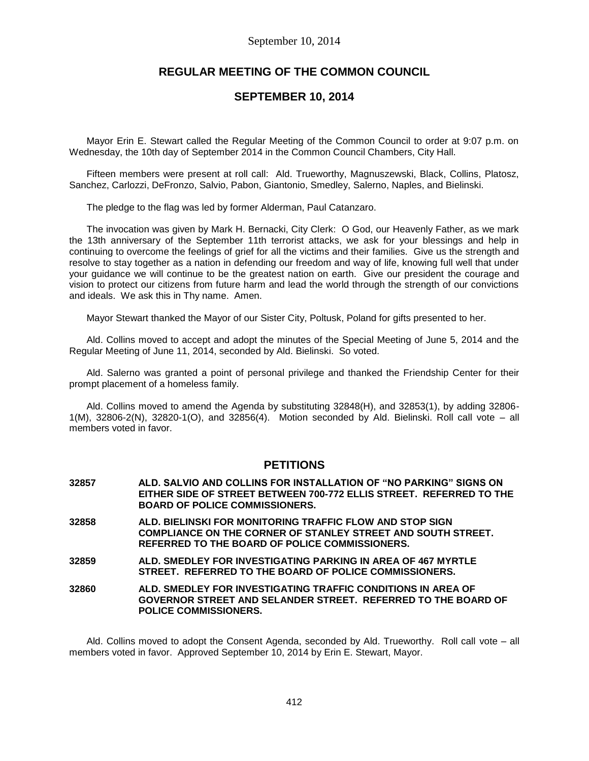# **REGULAR MEETING OF THE COMMON COUNCIL**

## **SEPTEMBER 10, 2014**

Mayor Erin E. Stewart called the Regular Meeting of the Common Council to order at 9:07 p.m. on Wednesday, the 10th day of September 2014 in the Common Council Chambers, City Hall.

Fifteen members were present at roll call: Ald. Trueworthy, Magnuszewski, Black, Collins, Platosz, Sanchez, Carlozzi, DeFronzo, Salvio, Pabon, Giantonio, Smedley, Salerno, Naples, and Bielinski.

The pledge to the flag was led by former Alderman, Paul Catanzaro.

The invocation was given by Mark H. Bernacki, City Clerk: O God, our Heavenly Father, as we mark the 13th anniversary of the September 11th terrorist attacks, we ask for your blessings and help in continuing to overcome the feelings of grief for all the victims and their families. Give us the strength and resolve to stay together as a nation in defending our freedom and way of life, knowing full well that under your guidance we will continue to be the greatest nation on earth. Give our president the courage and vision to protect our citizens from future harm and lead the world through the strength of our convictions and ideals. We ask this in Thy name. Amen.

Mayor Stewart thanked the Mayor of our Sister City, Poltusk, Poland for gifts presented to her.

Ald. Collins moved to accept and adopt the minutes of the Special Meeting of June 5, 2014 and the Regular Meeting of June 11, 2014, seconded by Ald. Bielinski. So voted.

Ald. Salerno was granted a point of personal privilege and thanked the Friendship Center for their prompt placement of a homeless family.

Ald. Collins moved to amend the Agenda by substituting 32848(H), and 32853(1), by adding 32806- 1(M), 32806-2(N), 32820-1(O), and 32856(4). Motion seconded by Ald. Bielinski. Roll call vote – all members voted in favor.

## **PETITIONS**

**32857 ALD. SALVIO AND COLLINS FOR INSTALLATION OF "NO PARKING" SIGNS ON EITHER SIDE OF STREET BETWEEN 700-772 ELLIS STREET. REFERRED TO THE BOARD OF POLICE COMMISSIONERS. 32858 ALD. BIELINSKI FOR MONITORING TRAFFIC FLOW AND STOP SIGN COMPLIANCE ON THE CORNER OF STANLEY STREET AND SOUTH STREET. REFERRED TO THE BOARD OF POLICE COMMISSIONERS. 32859 ALD. SMEDLEY FOR INVESTIGATING PARKING IN AREA OF 467 MYRTLE STREET. REFERRED TO THE BOARD OF POLICE COMMISSIONERS. 32860 ALD. SMEDLEY FOR INVESTIGATING TRAFFIC CONDITIONS IN AREA OF GOVERNOR STREET AND SELANDER STREET. REFERRED TO THE BOARD OF POLICE COMMISSIONERS.**

Ald. Collins moved to adopt the Consent Agenda, seconded by Ald. Trueworthy. Roll call vote – all members voted in favor. Approved September 10, 2014 by Erin E. Stewart, Mayor.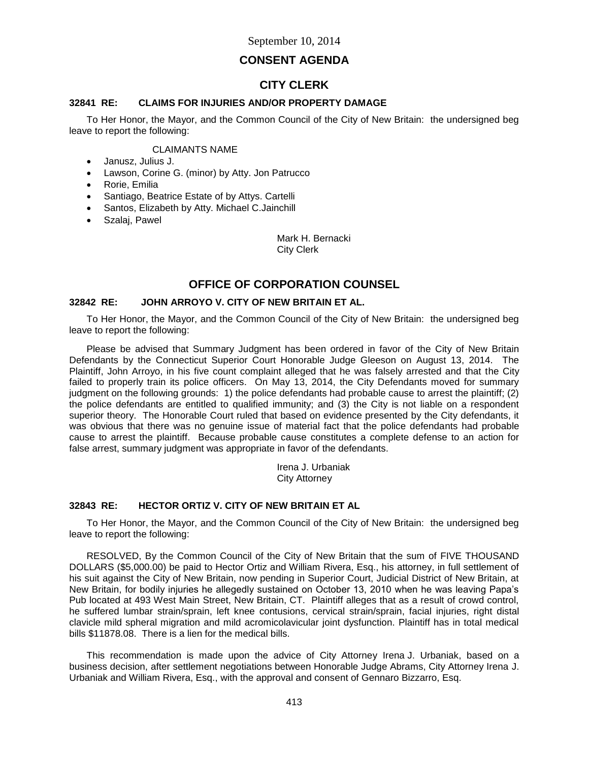# **CONSENT AGENDA**

# **CITY CLERK**

## **32841 RE: CLAIMS FOR INJURIES AND/OR PROPERTY DAMAGE**

To Her Honor, the Mayor, and the Common Council of the City of New Britain: the undersigned beg leave to report the following:

## CLAIMANTS NAME

- Janusz, Julius J.
- Lawson, Corine G. (minor) by Atty. Jon Patrucco
- Rorie, Emilia
- Santiago, Beatrice Estate of by Attys. Cartelli
- Santos, Elizabeth by Atty. Michael C.Jainchill
- Szalaj, Pawel

Mark H. Bernacki City Clerk

# **OFFICE OF CORPORATION COUNSEL**

## **32842 RE: JOHN ARROYO V. CITY OF NEW BRITAIN ET AL.**

To Her Honor, the Mayor, and the Common Council of the City of New Britain: the undersigned beg leave to report the following:

Please be advised that Summary Judgment has been ordered in favor of the City of New Britain Defendants by the Connecticut Superior Court Honorable Judge Gleeson on August 13, 2014. The Plaintiff, John Arroyo, in his five count complaint alleged that he was falsely arrested and that the City failed to properly train its police officers. On May 13, 2014, the City Defendants moved for summary judgment on the following grounds: 1) the police defendants had probable cause to arrest the plaintiff; (2) the police defendants are entitled to qualified immunity; and (3) the City is not liable on a respondent superior theory. The Honorable Court ruled that based on evidence presented by the City defendants, it was obvious that there was no genuine issue of material fact that the police defendants had probable cause to arrest the plaintiff. Because probable cause constitutes a complete defense to an action for false arrest, summary judgment was appropriate in favor of the defendants.

> Irena J. Urbaniak City Attorney

## **32843 RE: HECTOR ORTIZ V. CITY OF NEW BRITAIN ET AL**

To Her Honor, the Mayor, and the Common Council of the City of New Britain: the undersigned beg leave to report the following:

RESOLVED, By the Common Council of the City of New Britain that the sum of FIVE THOUSAND DOLLARS (\$5,000.00) be paid to Hector Ortiz and William Rivera, Esq., his attorney, in full settlement of his suit against the City of New Britain, now pending in Superior Court, Judicial District of New Britain, at New Britain, for bodily injuries he allegedly sustained on October 13, 2010 when he was leaving Papa's Pub located at 493 West Main Street, New Britain, CT. Plaintiff alleges that as a result of crowd control, he suffered lumbar strain/sprain, left knee contusions, cervical strain/sprain, facial injuries, right distal clavicle mild spheral migration and mild acromicolavicular joint dysfunction. Plaintiff has in total medical bills \$11878.08. There is a lien for the medical bills.

This recommendation is made upon the advice of City Attorney Irena J. Urbaniak, based on a business decision, after settlement negotiations between Honorable Judge Abrams, City Attorney Irena J. Urbaniak and William Rivera, Esq., with the approval and consent of Gennaro Bizzarro, Esq.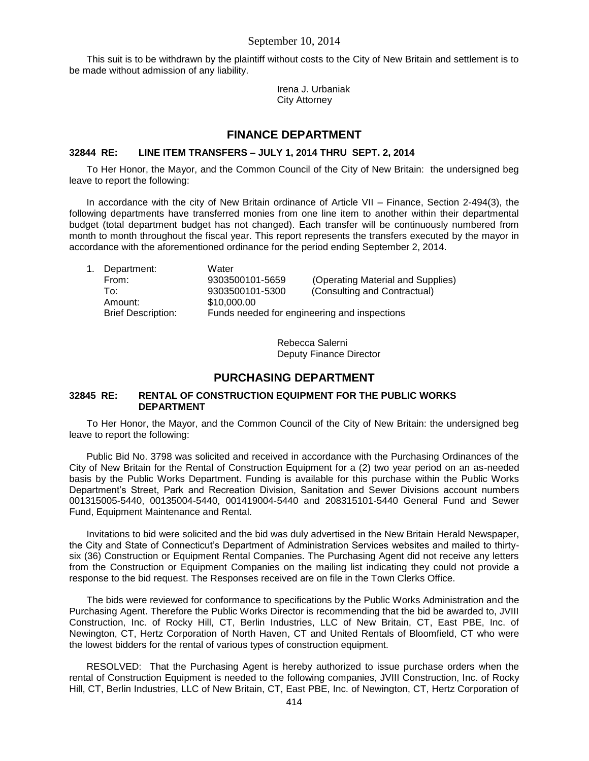This suit is to be withdrawn by the plaintiff without costs to the City of New Britain and settlement is to be made without admission of any liability.

> Irena J. Urbaniak City Attorney

## **FINANCE DEPARTMENT**

#### **32844 RE: LINE ITEM TRANSFERS – JULY 1, 2014 THRU SEPT. 2, 2014**

To Her Honor, the Mayor, and the Common Council of the City of New Britain: the undersigned beg leave to report the following:

In accordance with the city of New Britain ordinance of Article VII – Finance, Section 2-494(3), the following departments have transferred monies from one line item to another within their departmental budget (total department budget has not changed). Each transfer will be continuously numbered from month to month throughout the fiscal year. This report represents the transfers executed by the mayor in accordance with the aforementioned ordinance for the period ending September 2, 2014.

|  | Department:               | Water                                        |                                   |  |
|--|---------------------------|----------------------------------------------|-----------------------------------|--|
|  | From:                     | 9303500101-5659                              | (Operating Material and Supplies) |  |
|  | To∶                       | 9303500101-5300                              | (Consulting and Contractual)      |  |
|  | Amount:                   | \$10,000.00                                  |                                   |  |
|  | <b>Brief Description:</b> | Funds needed for engineering and inspections |                                   |  |
|  |                           |                                              |                                   |  |

Rebecca Salerni Deputy Finance Director

## **PURCHASING DEPARTMENT**

## **32845 RE: RENTAL OF CONSTRUCTION EQUIPMENT FOR THE PUBLIC WORKS DEPARTMENT**

To Her Honor, the Mayor, and the Common Council of the City of New Britain: the undersigned beg leave to report the following:

Public Bid No. 3798 was solicited and received in accordance with the Purchasing Ordinances of the City of New Britain for the Rental of Construction Equipment for a (2) two year period on an as-needed basis by the Public Works Department. Funding is available for this purchase within the Public Works Department's Street, Park and Recreation Division, Sanitation and Sewer Divisions account numbers 001315005-5440, 00135004-5440, 001419004-5440 and 208315101-5440 General Fund and Sewer Fund, Equipment Maintenance and Rental.

Invitations to bid were solicited and the bid was duly advertised in the New Britain Herald Newspaper, the City and State of Connecticut's Department of Administration Services websites and mailed to thirtysix (36) Construction or Equipment Rental Companies. The Purchasing Agent did not receive any letters from the Construction or Equipment Companies on the mailing list indicating they could not provide a response to the bid request. The Responses received are on file in the Town Clerks Office.

The bids were reviewed for conformance to specifications by the Public Works Administration and the Purchasing Agent. Therefore the Public Works Director is recommending that the bid be awarded to, JVIII Construction, Inc. of Rocky Hill, CT, Berlin Industries, LLC of New Britain, CT, East PBE, Inc. of Newington, CT, Hertz Corporation of North Haven, CT and United Rentals of Bloomfield, CT who were the lowest bidders for the rental of various types of construction equipment.

RESOLVED: That the Purchasing Agent is hereby authorized to issue purchase orders when the rental of Construction Equipment is needed to the following companies, JVIII Construction, Inc. of Rocky Hill, CT, Berlin Industries, LLC of New Britain, CT, East PBE, Inc. of Newington, CT, Hertz Corporation of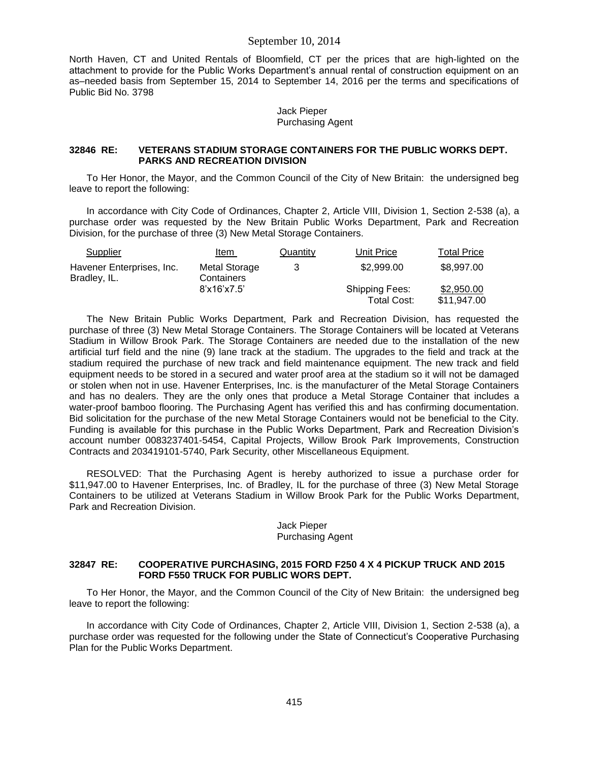North Haven, CT and United Rentals of Bloomfield, CT per the prices that are high-lighted on the attachment to provide for the Public Works Department's annual rental of construction equipment on an as–needed basis from September 15, 2014 to September 14, 2016 per the terms and specifications of Public Bid No. 3798

> Jack Pieper Purchasing Agent

### **32846 RE: VETERANS STADIUM STORAGE CONTAINERS FOR THE PUBLIC WORKS DEPT. PARKS AND RECREATION DIVISION**

To Her Honor, the Mayor, and the Common Council of the City of New Britain: the undersigned beg leave to report the following:

In accordance with City Code of Ordinances, Chapter 2, Article VIII, Division 1, Section 2-538 (a), a purchase order was requested by the New Britain Public Works Department, Park and Recreation Division, for the purchase of three (3) New Metal Storage Containers.

| Supplier                                  | Item                        | Quantity | Unit Price                           | <b>Total Price</b>        |
|-------------------------------------------|-----------------------------|----------|--------------------------------------|---------------------------|
| Havener Enterprises, Inc.<br>Bradley, IL. | Metal Storage<br>Containers | 3        | \$2,999.00                           | \$8,997.00                |
|                                           | 8'x16'x7.5'                 |          | <b>Shipping Fees:</b><br>Total Cost: | \$2,950.00<br>\$11,947.00 |

The New Britain Public Works Department, Park and Recreation Division, has requested the purchase of three (3) New Metal Storage Containers. The Storage Containers will be located at Veterans Stadium in Willow Brook Park. The Storage Containers are needed due to the installation of the new artificial turf field and the nine (9) lane track at the stadium. The upgrades to the field and track at the stadium required the purchase of new track and field maintenance equipment. The new track and field equipment needs to be stored in a secured and water proof area at the stadium so it will not be damaged or stolen when not in use. Havener Enterprises, Inc. is the manufacturer of the Metal Storage Containers and has no dealers. They are the only ones that produce a Metal Storage Container that includes a water-proof bamboo flooring. The Purchasing Agent has verified this and has confirming documentation. Bid solicitation for the purchase of the new Metal Storage Containers would not be beneficial to the City. Funding is available for this purchase in the Public Works Department, Park and Recreation Division's account number 0083237401-5454, Capital Projects, Willow Brook Park Improvements, Construction Contracts and 203419101-5740, Park Security, other Miscellaneous Equipment.

RESOLVED: That the Purchasing Agent is hereby authorized to issue a purchase order for \$11,947.00 to Havener Enterprises, Inc. of Bradley, IL for the purchase of three (3) New Metal Storage Containers to be utilized at Veterans Stadium in Willow Brook Park for the Public Works Department, Park and Recreation Division.

### Jack Pieper Purchasing Agent

### **32847 RE: COOPERATIVE PURCHASING, 2015 FORD F250 4 X 4 PICKUP TRUCK AND 2015 FORD F550 TRUCK FOR PUBLIC WORS DEPT.**

To Her Honor, the Mayor, and the Common Council of the City of New Britain: the undersigned beg leave to report the following:

In accordance with City Code of Ordinances, Chapter 2, Article VIII, Division 1, Section 2-538 (a), a purchase order was requested for the following under the State of Connecticut's Cooperative Purchasing Plan for the Public Works Department.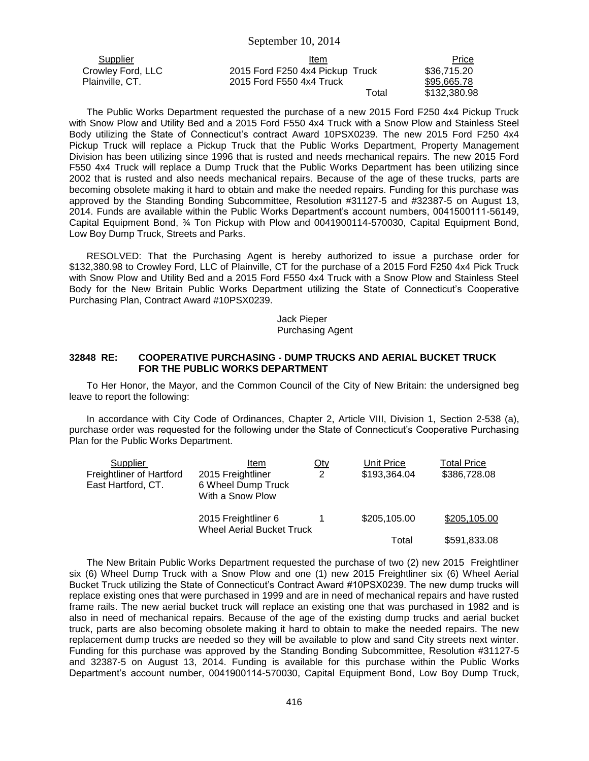| Supplier          | Item                            | <b>Price</b> |
|-------------------|---------------------------------|--------------|
| Crowley Ford, LLC | 2015 Ford F250 4x4 Pickup Truck | \$36,715.20  |
| Plainville, CT.   | 2015 Ford F550 4x4 Truck        | \$95,665.78  |
|                   | Total                           | \$132,380.98 |

The Public Works Department requested the purchase of a new 2015 Ford F250 4x4 Pickup Truck with Snow Plow and Utility Bed and a 2015 Ford F550 4x4 Truck with a Snow Plow and Stainless Steel Body utilizing the State of Connecticut's contract Award 10PSX0239. The new 2015 Ford F250 4x4 Pickup Truck will replace a Pickup Truck that the Public Works Department, Property Management Division has been utilizing since 1996 that is rusted and needs mechanical repairs. The new 2015 Ford F550 4x4 Truck will replace a Dump Truck that the Public Works Department has been utilizing since 2002 that is rusted and also needs mechanical repairs. Because of the age of these trucks, parts are becoming obsolete making it hard to obtain and make the needed repairs. Funding for this purchase was approved by the Standing Bonding Subcommittee, Resolution #31127-5 and #32387-5 on August 13, 2014. Funds are available within the Public Works Department's account numbers, 0041500111-56149, Capital Equipment Bond, ¾ Ton Pickup with Plow and 0041900114-570030, Capital Equipment Bond, Low Boy Dump Truck, Streets and Parks.

RESOLVED: That the Purchasing Agent is hereby authorized to issue a purchase order for \$132,380.98 to Crowley Ford, LLC of Plainville, CT for the purchase of a 2015 Ford F250 4x4 Pick Truck with Snow Plow and Utility Bed and a 2015 Ford F550 4x4 Truck with a Snow Plow and Stainless Steel Body for the New Britain Public Works Department utilizing the State of Connecticut's Cooperative Purchasing Plan, Contract Award #10PSX0239.

> Jack Pieper Purchasing Agent

#### **32848 RE: COOPERATIVE PURCHASING - DUMP TRUCKS AND AERIAL BUCKET TRUCK FOR THE PUBLIC WORKS DEPARTMENT**

To Her Honor, the Mayor, and the Common Council of the City of New Britain: the undersigned beg leave to report the following:

In accordance with City Code of Ordinances, Chapter 2, Article VIII, Division 1, Section 2-538 (a), purchase order was requested for the following under the State of Connecticut's Cooperative Purchasing Plan for the Public Works Department.

| Supplier<br>Freightliner of Hartford<br>East Hartford, CT. | Item<br>2015 Freightliner<br>6 Wheel Dump Truck<br>With a Snow Plow | <u>Qty</u><br>2 | Unit Price<br>\$193,364.04 | Total Price<br>\$386,728.08 |
|------------------------------------------------------------|---------------------------------------------------------------------|-----------------|----------------------------|-----------------------------|
|                                                            | 2015 Freightliner 6<br><b>Wheel Aerial Bucket Truck</b>             |                 | \$205,105.00               | \$205,105.00                |
|                                                            |                                                                     |                 | Total                      | \$591,833.08                |

The New Britain Public Works Department requested the purchase of two (2) new 2015 Freightliner six (6) Wheel Dump Truck with a Snow Plow and one (1) new 2015 Freightliner six (6) Wheel Aerial Bucket Truck utilizing the State of Connecticut's Contract Award #10PSX0239. The new dump trucks will replace existing ones that were purchased in 1999 and are in need of mechanical repairs and have rusted frame rails. The new aerial bucket truck will replace an existing one that was purchased in 1982 and is also in need of mechanical repairs. Because of the age of the existing dump trucks and aerial bucket truck, parts are also becoming obsolete making it hard to obtain to make the needed repairs. The new replacement dump trucks are needed so they will be available to plow and sand City streets next winter. Funding for this purchase was approved by the Standing Bonding Subcommittee, Resolution #31127-5 and 32387-5 on August 13, 2014. Funding is available for this purchase within the Public Works Department's account number, 0041900114-570030, Capital Equipment Bond, Low Boy Dump Truck,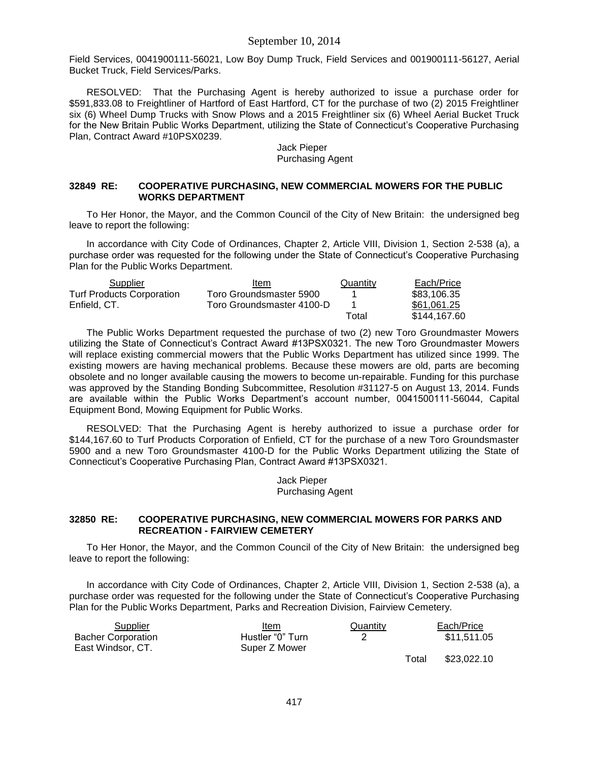Field Services, 0041900111-56021, Low Boy Dump Truck, Field Services and 001900111-56127, Aerial Bucket Truck, Field Services/Parks.

RESOLVED: That the Purchasing Agent is hereby authorized to issue a purchase order for \$591,833.08 to Freightliner of Hartford of East Hartford, CT for the purchase of two (2) 2015 Freightliner six (6) Wheel Dump Trucks with Snow Plows and a 2015 Freightliner six (6) Wheel Aerial Bucket Truck for the New Britain Public Works Department, utilizing the State of Connecticut's Cooperative Purchasing Plan, Contract Award #10PSX0239.

> Jack Pieper Purchasing Agent

## **32849 RE: COOPERATIVE PURCHASING, NEW COMMERCIAL MOWERS FOR THE PUBLIC WORKS DEPARTMENT**

To Her Honor, the Mayor, and the Common Council of the City of New Britain: the undersigned beg leave to report the following:

In accordance with City Code of Ordinances, Chapter 2, Article VIII, Division 1, Section 2-538 (a), a purchase order was requested for the following under the State of Connecticut's Cooperative Purchasing Plan for the Public Works Department.

| Supplier                         | Item                      | Quantity | Each/Price   |
|----------------------------------|---------------------------|----------|--------------|
| <b>Turf Products Corporation</b> | Toro Groundsmaster 5900   |          | \$83,106.35  |
| Enfield, CT.                     | Toro Groundsmaster 4100-D |          | \$61.061.25  |
|                                  |                           | Total    | \$144,167.60 |

The Public Works Department requested the purchase of two (2) new Toro Groundmaster Mowers utilizing the State of Connecticut's Contract Award #13PSX0321. The new Toro Groundmaster Mowers will replace existing commercial mowers that the Public Works Department has utilized since 1999. The existing mowers are having mechanical problems. Because these mowers are old, parts are becoming obsolete and no longer available causing the mowers to become un-repairable. Funding for this purchase was approved by the Standing Bonding Subcommittee, Resolution #31127-5 on August 13, 2014. Funds are available within the Public Works Department's account number, 0041500111-56044, Capital Equipment Bond, Mowing Equipment for Public Works.

RESOLVED: That the Purchasing Agent is hereby authorized to issue a purchase order for \$144,167.60 to Turf Products Corporation of Enfield, CT for the purchase of a new Toro Groundsmaster 5900 and a new Toro Groundsmaster 4100-D for the Public Works Department utilizing the State of Connecticut's Cooperative Purchasing Plan, Contract Award #13PSX0321.

> Jack Pieper Purchasing Agent

### **32850 RE: COOPERATIVE PURCHASING, NEW COMMERCIAL MOWERS FOR PARKS AND RECREATION - FAIRVIEW CEMETERY**

To Her Honor, the Mayor, and the Common Council of the City of New Britain: the undersigned beg leave to report the following:

In accordance with City Code of Ordinances, Chapter 2, Article VIII, Division 1, Section 2-538 (a), a purchase order was requested for the following under the State of Connecticut's Cooperative Purchasing Plan for the Public Works Department, Parks and Recreation Division, Fairview Cemetery.

| Item             | Quantity | Each/Price  |
|------------------|----------|-------------|
| Hustler "0" Turn |          | \$11.511.05 |
| Super Z Mower    |          |             |
|                  |          |             |

 Total \$23,022.10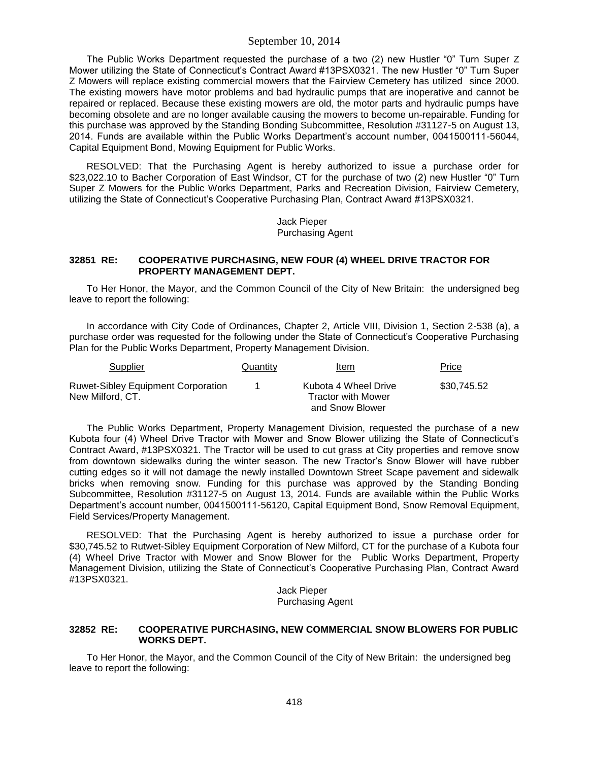The Public Works Department requested the purchase of a two (2) new Hustler "0" Turn Super Z Mower utilizing the State of Connecticut's Contract Award #13PSX0321. The new Hustler "0" Turn Super Z Mowers will replace existing commercial mowers that the Fairview Cemetery has utilized since 2000. The existing mowers have motor problems and bad hydraulic pumps that are inoperative and cannot be repaired or replaced. Because these existing mowers are old, the motor parts and hydraulic pumps have becoming obsolete and are no longer available causing the mowers to become un-repairable. Funding for this purchase was approved by the Standing Bonding Subcommittee, Resolution #31127-5 on August 13, 2014. Funds are available within the Public Works Department's account number, 0041500111-56044, Capital Equipment Bond, Mowing Equipment for Public Works.

RESOLVED: That the Purchasing Agent is hereby authorized to issue a purchase order for \$23,022.10 to Bacher Corporation of East Windsor, CT for the purchase of two (2) new Hustler "0" Turn Super Z Mowers for the Public Works Department, Parks and Recreation Division, Fairview Cemetery, utilizing the State of Connecticut's Cooperative Purchasing Plan, Contract Award #13PSX0321.

> Jack Pieper Purchasing Agent

#### **32851 RE: COOPERATIVE PURCHASING, NEW FOUR (4) WHEEL DRIVE TRACTOR FOR PROPERTY MANAGEMENT DEPT.**

To Her Honor, the Mayor, and the Common Council of the City of New Britain: the undersigned beg leave to report the following:

In accordance with City Code of Ordinances, Chapter 2, Article VIII, Division 1, Section 2-538 (a), a purchase order was requested for the following under the State of Connecticut's Cooperative Purchasing Plan for the Public Works Department, Property Management Division.

| Supplier                                                      | Quantity | Item                                                          | Price       |
|---------------------------------------------------------------|----------|---------------------------------------------------------------|-------------|
| <b>Ruwet-Sibley Equipment Corporation</b><br>New Milford, CT. |          | Kubota 4 Wheel Drive<br>Tractor with Mower<br>and Snow Blower | \$30.745.52 |

The Public Works Department, Property Management Division, requested the purchase of a new Kubota four (4) Wheel Drive Tractor with Mower and Snow Blower utilizing the State of Connecticut's Contract Award, #13PSX0321. The Tractor will be used to cut grass at City properties and remove snow from downtown sidewalks during the winter season. The new Tractor's Snow Blower will have rubber cutting edges so it will not damage the newly installed Downtown Street Scape pavement and sidewalk bricks when removing snow. Funding for this purchase was approved by the Standing Bonding Subcommittee, Resolution #31127-5 on August 13, 2014. Funds are available within the Public Works Department's account number, 0041500111-56120, Capital Equipment Bond, Snow Removal Equipment, Field Services/Property Management.

RESOLVED: That the Purchasing Agent is hereby authorized to issue a purchase order for \$30,745.52 to Rutwet-Sibley Equipment Corporation of New Milford, CT for the purchase of a Kubota four (4) Wheel Drive Tractor with Mower and Snow Blower for the Public Works Department, Property Management Division, utilizing the State of Connecticut's Cooperative Purchasing Plan, Contract Award #13PSX0321.

> Jack Pieper Purchasing Agent

### **32852 RE: COOPERATIVE PURCHASING, NEW COMMERCIAL SNOW BLOWERS FOR PUBLIC WORKS DEPT.**

To Her Honor, the Mayor, and the Common Council of the City of New Britain: the undersigned beg leave to report the following: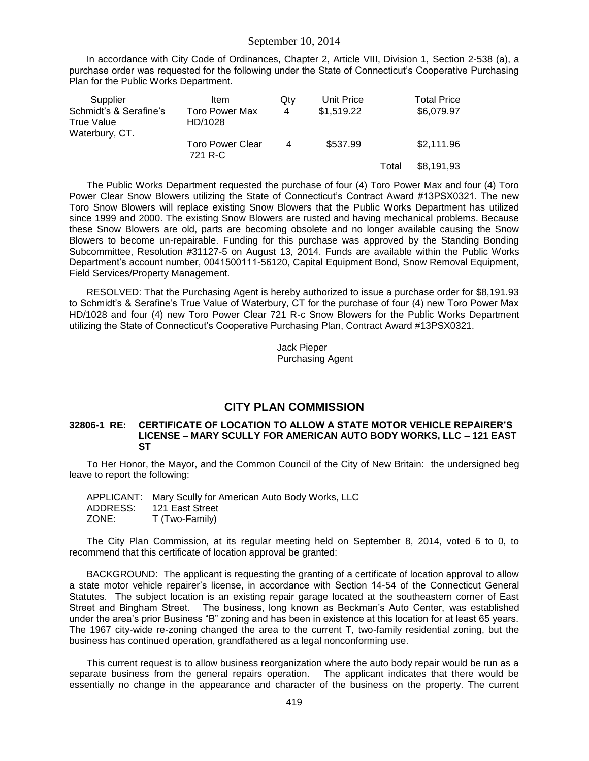In accordance with City Code of Ordinances, Chapter 2, Article VIII, Division 1, Section 2-538 (a), a purchase order was requested for the following under the State of Connecticut's Cooperative Purchasing Plan for the Public Works Department.

| Supplier               | Item                               | Qty | Unit Price |       | Total Price |
|------------------------|------------------------------------|-----|------------|-------|-------------|
| Schmidt's & Serafine's | <b>Toro Power Max</b>              | 4   | \$1,519.22 |       | \$6,079.97  |
| <b>True Value</b>      | HD/1028                            |     |            |       |             |
| Waterbury, CT.         |                                    |     |            |       |             |
|                        | <b>Toro Power Clear</b><br>721 R-C | 4   | \$537.99   |       | \$2,111.96  |
|                        |                                    |     |            | Total | \$8,191,93  |

The Public Works Department requested the purchase of four (4) Toro Power Max and four (4) Toro Power Clear Snow Blowers utilizing the State of Connecticut's Contract Award #13PSX0321. The new Toro Snow Blowers will replace existing Snow Blowers that the Public Works Department has utilized since 1999 and 2000. The existing Snow Blowers are rusted and having mechanical problems. Because these Snow Blowers are old, parts are becoming obsolete and no longer available causing the Snow Blowers to become un-repairable. Funding for this purchase was approved by the Standing Bonding Subcommittee, Resolution #31127-5 on August 13, 2014. Funds are available within the Public Works Department's account number, 0041500111-56120, Capital Equipment Bond, Snow Removal Equipment, Field Services/Property Management.

RESOLVED: That the Purchasing Agent is hereby authorized to issue a purchase order for \$8,191.93 to Schmidt's & Serafine's True Value of Waterbury, CT for the purchase of four (4) new Toro Power Max HD/1028 and four (4) new Toro Power Clear 721 R-c Snow Blowers for the Public Works Department utilizing the State of Connecticut's Cooperative Purchasing Plan, Contract Award #13PSX0321.

> Jack Pieper Purchasing Agent

## **CITY PLAN COMMISSION**

### **32806-1 RE: CERTIFICATE OF LOCATION TO ALLOW A STATE MOTOR VEHICLE REPAIRER'S LICENSE – MARY SCULLY FOR AMERICAN AUTO BODY WORKS, LLC – 121 EAST ST**

To Her Honor, the Mayor, and the Common Council of the City of New Britain: the undersigned beg leave to report the following:

|          | APPLICANT: Mary Scully for American Auto Body Works, LLC |
|----------|----------------------------------------------------------|
| ADDRESS: | 121 East Street                                          |
| ZONE:    | T (Two-Family)                                           |

The City Plan Commission, at its regular meeting held on September 8, 2014, voted 6 to 0, to recommend that this certificate of location approval be granted:

BACKGROUND: The applicant is requesting the granting of a certificate of location approval to allow a state motor vehicle repairer's license, in accordance with Section 14-54 of the Connecticut General Statutes. The subject location is an existing repair garage located at the southeastern corner of East Street and Bingham Street. The business, long known as Beckman's Auto Center, was established under the area's prior Business "B" zoning and has been in existence at this location for at least 65 years. The 1967 city-wide re-zoning changed the area to the current T, two-family residential zoning, but the business has continued operation, grandfathered as a legal nonconforming use.

This current request is to allow business reorganization where the auto body repair would be run as a separate business from the general repairs operation. The applicant indicates that there would be essentially no change in the appearance and character of the business on the property. The current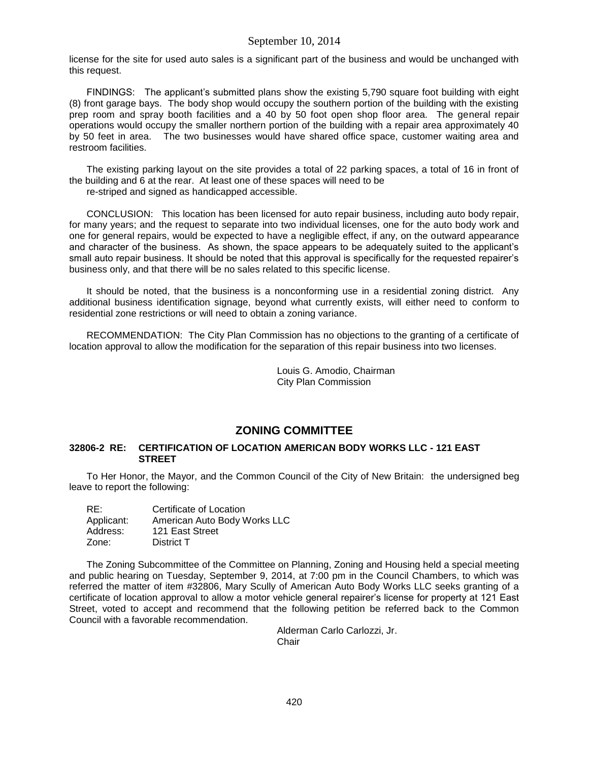license for the site for used auto sales is a significant part of the business and would be unchanged with this request.

FINDINGS: The applicant's submitted plans show the existing 5,790 square foot building with eight (8) front garage bays. The body shop would occupy the southern portion of the building with the existing prep room and spray booth facilities and a 40 by 50 foot open shop floor area. The general repair operations would occupy the smaller northern portion of the building with a repair area approximately 40 by 50 feet in area. The two businesses would have shared office space, customer waiting area and restroom facilities.

The existing parking layout on the site provides a total of 22 parking spaces, a total of 16 in front of the building and 6 at the rear. At least one of these spaces will need to be

re-striped and signed as handicapped accessible.

CONCLUSION: This location has been licensed for auto repair business, including auto body repair, for many years; and the request to separate into two individual licenses, one for the auto body work and one for general repairs, would be expected to have a negligible effect, if any, on the outward appearance and character of the business. As shown, the space appears to be adequately suited to the applicant's small auto repair business. It should be noted that this approval is specifically for the requested repairer's business only, and that there will be no sales related to this specific license.

It should be noted, that the business is a nonconforming use in a residential zoning district. Any additional business identification signage, beyond what currently exists, will either need to conform to residential zone restrictions or will need to obtain a zoning variance.

RECOMMENDATION: The City Plan Commission has no objections to the granting of a certificate of location approval to allow the modification for the separation of this repair business into two licenses.

> Louis G. Amodio, Chairman City Plan Commission

# **ZONING COMMITTEE**

## **32806-2 RE: CERTIFICATION OF LOCATION AMERICAN BODY WORKS LLC - 121 EAST STREET**

To Her Honor, the Mayor, and the Common Council of the City of New Britain: the undersigned beg leave to report the following:

| RE:        | Certificate of Location      |
|------------|------------------------------|
| Applicant: | American Auto Body Works LLC |
| Address:   | 121 East Street              |
| Zone:      | District T                   |

The Zoning Subcommittee of the Committee on Planning, Zoning and Housing held a special meeting and public hearing on Tuesday, September 9, 2014, at 7:00 pm in the Council Chambers, to which was referred the matter of item #32806, Mary Scully of American Auto Body Works LLC seeks granting of a certificate of location approval to allow a motor vehicle general repairer's license for property at 121 East Street, voted to accept and recommend that the following petition be referred back to the Common Council with a favorable recommendation.

> Alderman Carlo Carlozzi, Jr. **Chair**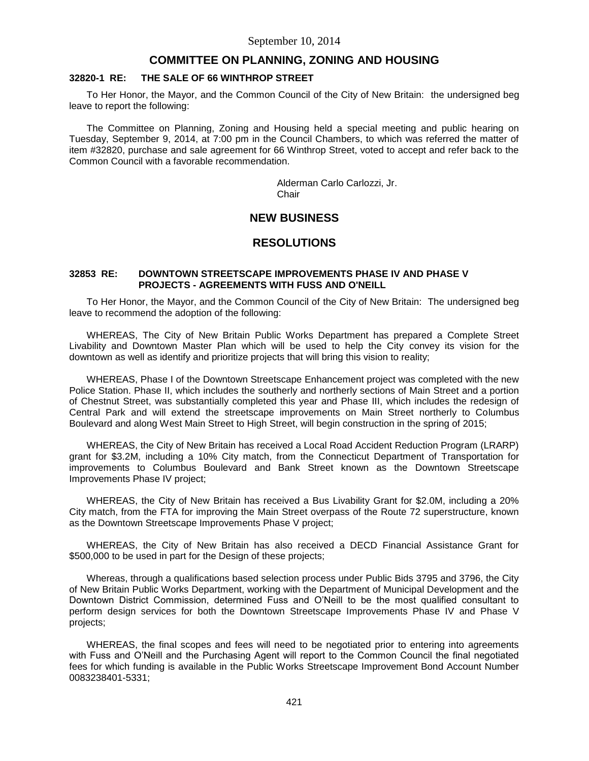## **COMMITTEE ON PLANNING, ZONING AND HOUSING**

#### **32820-1 RE: THE SALE OF 66 WINTHROP STREET**

To Her Honor, the Mayor, and the Common Council of the City of New Britain: the undersigned beg leave to report the following:

The Committee on Planning, Zoning and Housing held a special meeting and public hearing on Tuesday, September 9, 2014, at 7:00 pm in the Council Chambers, to which was referred the matter of item #32820, purchase and sale agreement for 66 Winthrop Street, voted to accept and refer back to the Common Council with a favorable recommendation.

> Alderman Carlo Carlozzi, Jr. **Chair**

# **NEW BUSINESS**

## **RESOLUTIONS**

### **32853 RE: DOWNTOWN STREETSCAPE IMPROVEMENTS PHASE IV AND PHASE V PROJECTS - AGREEMENTS WITH FUSS AND O'NEILL**

To Her Honor, the Mayor, and the Common Council of the City of New Britain: The undersigned beg leave to recommend the adoption of the following:

WHEREAS, The City of New Britain Public Works Department has prepared a Complete Street Livability and Downtown Master Plan which will be used to help the City convey its vision for the downtown as well as identify and prioritize projects that will bring this vision to reality;

WHEREAS, Phase I of the Downtown Streetscape Enhancement project was completed with the new Police Station. Phase II, which includes the southerly and northerly sections of Main Street and a portion of Chestnut Street, was substantially completed this year and Phase III, which includes the redesign of Central Park and will extend the streetscape improvements on Main Street northerly to Columbus Boulevard and along West Main Street to High Street, will begin construction in the spring of 2015;

WHEREAS, the City of New Britain has received a Local Road Accident Reduction Program (LRARP) grant for \$3.2M, including a 10% City match, from the Connecticut Department of Transportation for improvements to Columbus Boulevard and Bank Street known as the Downtown Streetscape Improvements Phase IV project;

WHEREAS, the City of New Britain has received a Bus Livability Grant for \$2.0M, including a 20% City match, from the FTA for improving the Main Street overpass of the Route 72 superstructure, known as the Downtown Streetscape Improvements Phase V project;

WHEREAS, the City of New Britain has also received a DECD Financial Assistance Grant for \$500,000 to be used in part for the Design of these projects;

Whereas, through a qualifications based selection process under Public Bids 3795 and 3796, the City of New Britain Public Works Department, working with the Department of Municipal Development and the Downtown District Commission, determined Fuss and O'Neill to be the most qualified consultant to perform design services for both the Downtown Streetscape Improvements Phase IV and Phase V projects;

WHEREAS, the final scopes and fees will need to be negotiated prior to entering into agreements with Fuss and O'Neill and the Purchasing Agent will report to the Common Council the final negotiated fees for which funding is available in the Public Works Streetscape Improvement Bond Account Number 0083238401-5331;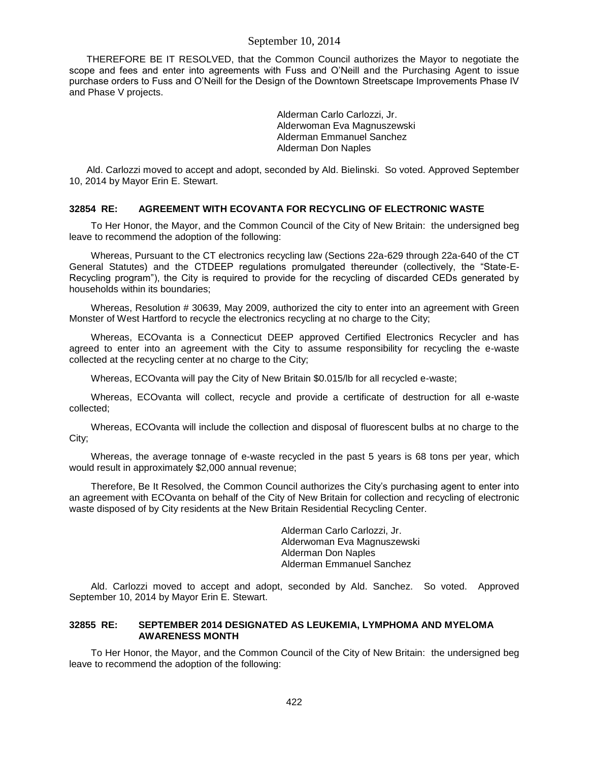THEREFORE BE IT RESOLVED, that the Common Council authorizes the Mayor to negotiate the scope and fees and enter into agreements with Fuss and O'Neill and the Purchasing Agent to issue purchase orders to Fuss and O'Neill for the Design of the Downtown Streetscape Improvements Phase IV and Phase V projects.

> Alderman Carlo Carlozzi, Jr. Alderwoman Eva Magnuszewski Alderman Emmanuel Sanchez Alderman Don Naples

Ald. Carlozzi moved to accept and adopt, seconded by Ald. Bielinski. So voted. Approved September 10, 2014 by Mayor Erin E. Stewart.

#### **32854 RE: AGREEMENT WITH ECOVANTA FOR RECYCLING OF ELECTRONIC WASTE**

To Her Honor, the Mayor, and the Common Council of the City of New Britain: the undersigned beg leave to recommend the adoption of the following:

Whereas, Pursuant to the CT electronics recycling law (Sections 22a-629 through 22a-640 of the CT General Statutes) and the CTDEEP regulations promulgated thereunder (collectively, the "State-E-Recycling program"), the City is required to provide for the recycling of discarded CEDs generated by households within its boundaries;

Whereas, Resolution # 30639, May 2009, authorized the city to enter into an agreement with Green Monster of West Hartford to recycle the electronics recycling at no charge to the City;

Whereas, ECOvanta is a Connecticut DEEP approved Certified Electronics Recycler and has agreed to enter into an agreement with the City to assume responsibility for recycling the e-waste collected at the recycling center at no charge to the City;

Whereas, ECOvanta will pay the City of New Britain \$0.015/lb for all recycled e-waste;

Whereas, ECOvanta will collect, recycle and provide a certificate of destruction for all e-waste collected;

Whereas, ECOvanta will include the collection and disposal of fluorescent bulbs at no charge to the City;

Whereas, the average tonnage of e-waste recycled in the past 5 years is 68 tons per year, which would result in approximately \$2,000 annual revenue;

Therefore, Be It Resolved, the Common Council authorizes the City's purchasing agent to enter into an agreement with ECOvanta on behalf of the City of New Britain for collection and recycling of electronic waste disposed of by City residents at the New Britain Residential Recycling Center.

> Alderman Carlo Carlozzi, Jr. Alderwoman Eva Magnuszewski Alderman Don Naples Alderman Emmanuel Sanchez

Ald. Carlozzi moved to accept and adopt, seconded by Ald. Sanchez. So voted. Approved September 10, 2014 by Mayor Erin E. Stewart.

### **32855 RE: SEPTEMBER 2014 DESIGNATED AS LEUKEMIA, LYMPHOMA AND MYELOMA AWARENESS MONTH**

To Her Honor, the Mayor, and the Common Council of the City of New Britain: the undersigned beg leave to recommend the adoption of the following: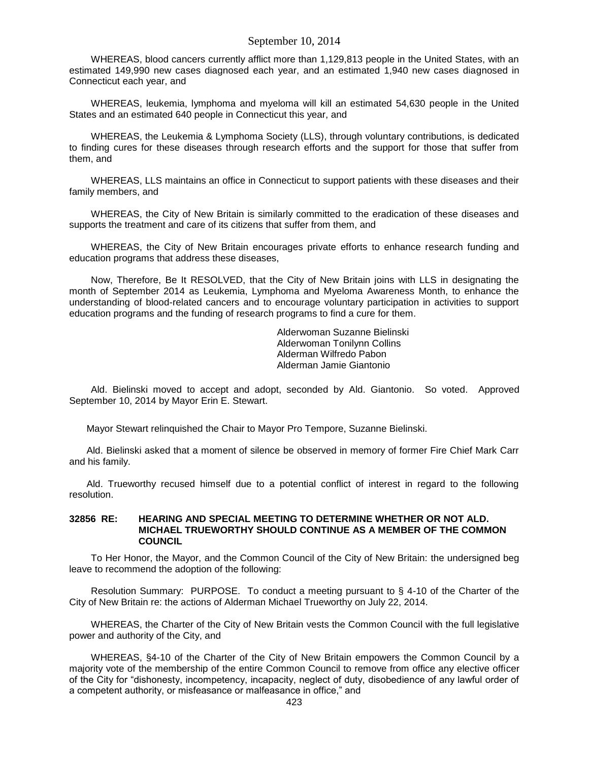WHEREAS, blood cancers currently afflict more than 1,129,813 people in the United States, with an estimated 149,990 new cases diagnosed each year, and an estimated 1,940 new cases diagnosed in Connecticut each year, and

WHEREAS, leukemia, lymphoma and myeloma will kill an estimated 54,630 people in the United States and an estimated 640 people in Connecticut this year, and

WHEREAS, the Leukemia & Lymphoma Society (LLS), through voluntary contributions, is dedicated to finding cures for these diseases through research efforts and the support for those that suffer from them, and

WHEREAS, LLS maintains an office in Connecticut to support patients with these diseases and their family members, and

WHEREAS, the City of New Britain is similarly committed to the eradication of these diseases and supports the treatment and care of its citizens that suffer from them, and

WHEREAS, the City of New Britain encourages private efforts to enhance research funding and education programs that address these diseases,

Now, Therefore, Be It RESOLVED, that the City of New Britain joins with LLS in designating the month of September 2014 as Leukemia, Lymphoma and Myeloma Awareness Month, to enhance the understanding of blood-related cancers and to encourage voluntary participation in activities to support education programs and the funding of research programs to find a cure for them.

> Alderwoman Suzanne Bielinski Alderwoman Tonilynn Collins Alderman Wilfredo Pabon Alderman Jamie Giantonio

Ald. Bielinski moved to accept and adopt, seconded by Ald. Giantonio. So voted. Approved September 10, 2014 by Mayor Erin E. Stewart.

Mayor Stewart relinquished the Chair to Mayor Pro Tempore, Suzanne Bielinski.

Ald. Bielinski asked that a moment of silence be observed in memory of former Fire Chief Mark Carr and his family.

Ald. Trueworthy recused himself due to a potential conflict of interest in regard to the following resolution.

#### **32856 RE: HEARING AND SPECIAL MEETING TO DETERMINE WHETHER OR NOT ALD. MICHAEL TRUEWORTHY SHOULD CONTINUE AS A MEMBER OF THE COMMON COUNCIL**

To Her Honor, the Mayor, and the Common Council of the City of New Britain: the undersigned beg leave to recommend the adoption of the following:

Resolution Summary: PURPOSE. To conduct a meeting pursuant to § 4-10 of the Charter of the City of New Britain re: the actions of Alderman Michael Trueworthy on July 22, 2014.

WHEREAS, the Charter of the City of New Britain vests the Common Council with the full legislative power and authority of the City, and

WHEREAS, §4-10 of the Charter of the City of New Britain empowers the Common Council by a majority vote of the membership of the entire Common Council to remove from office any elective officer of the City for "dishonesty, incompetency, incapacity, neglect of duty, disobedience of any lawful order of a competent authority, or misfeasance or malfeasance in office," and